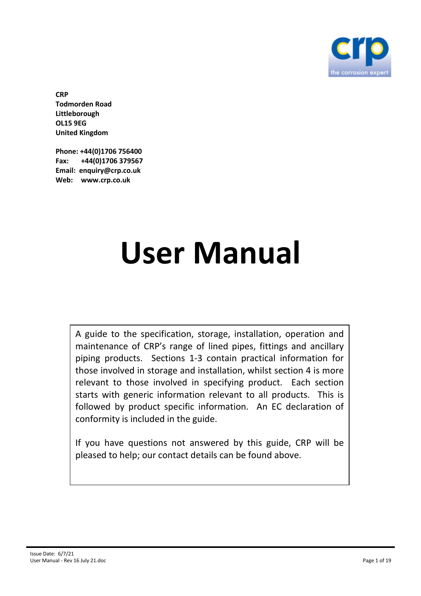

**CRP Todmorden Road Littleborough OL15 9EG United Kingdom** 

**Phone: +44(0)1706 756400 Fax: +44(0)1706 379567 Email: enquiry@crp.co.uk Web: www.crp.co.uk** 

# **User Manual**

A guide to the specification, storage, installation, operation and maintenance of CRP's range of lined pipes, fittings and ancillary piping products. Sections 1-3 contain practical information for those involved in storage and installation, whilst section 4 is more relevant to those involved in specifying product. Each section starts with generic information relevant to all products. This is followed by product specific information. An EC declaration of conformity is included in the guide.

If you have questions not answered by this guide, CRP will be pleased to help; our contact details can be found above.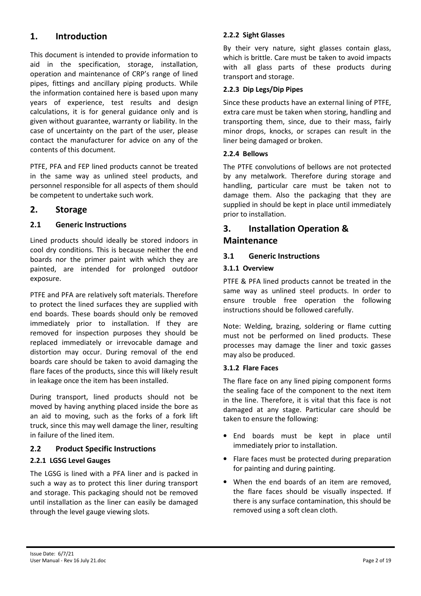# **1. Introduction**

This document is intended to provide information to aid in the specification, storage, installation, operation and maintenance of CRP's range of lined pipes, fittings and ancillary piping products. While the information contained here is based upon many years of experience, test results and design calculations, it is for general guidance only and is given without guarantee, warranty or liability. In the case of uncertainty on the part of the user, please contact the manufacturer for advice on any of the contents of this document.

PTFE, PFA and FEP lined products cannot be treated in the same way as unlined steel products, and personnel responsible for all aspects of them should be competent to undertake such work.

# **2. Storage**

# **2.1 Generic Instructions**

Lined products should ideally be stored indoors in cool dry conditions. This is because neither the end boards nor the primer paint with which they are painted, are intended for prolonged outdoor exposure.

PTFE and PFA are relatively soft materials. Therefore to protect the lined surfaces they are supplied with end boards. These boards should only be removed immediately prior to installation. If they are removed for inspection purposes they should be replaced immediately or irrevocable damage and distortion may occur. During removal of the end boards care should be taken to avoid damaging the flare faces of the products, since this will likely result in leakage once the item has been installed.

During transport, lined products should not be moved by having anything placed inside the bore as an aid to moving, such as the forks of a fork lift truck, since this may well damage the liner, resulting in failure of the lined item.

# **2.2 Product Specific Instructions**

#### **2.2.1 LGSG Level Gauges**

The LGSG is lined with a PFA liner and is packed in such a way as to protect this liner during transport and storage. This packaging should not be removed until installation as the liner can easily be damaged through the level gauge viewing slots.

#### **2.2.2 Sight Glasses**

By their very nature, sight glasses contain glass, which is brittle. Care must be taken to avoid impacts with all glass parts of these products during transport and storage.

#### **2.2.3 Dip Legs/Dip Pipes**

Since these products have an external lining of PTFE, extra care must be taken when storing, handling and transporting them, since, due to their mass, fairly minor drops, knocks, or scrapes can result in the liner being damaged or broken.

#### **2.2.4 Bellows**

The PTFE convolutions of bellows are not protected by any metalwork. Therefore during storage and handling, particular care must be taken not to damage them. Also the packaging that they are supplied in should be kept in place until immediately prior to installation.

# **3. Installation Operation & Maintenance**

#### **3.1 Generic Instructions**

#### **3.1.1 Overview**

PTFE & PFA lined products cannot be treated in the same way as unlined steel products. In order to ensure trouble free operation the following instructions should be followed carefully.

Note: Welding, brazing, soldering or flame cutting must not be performed on lined products. These processes may damage the liner and toxic gasses may also be produced.

#### **3.1.2 Flare Faces**

The flare face on any lined piping component forms the sealing face of the component to the next item in the line. Therefore, it is vital that this face is not damaged at any stage. Particular care should be taken to ensure the following:

- End boards must be kept in place until immediately prior to installation.
- Flare faces must be protected during preparation for painting and during painting.
- When the end boards of an item are removed, the flare faces should be visually inspected. If there is any surface contamination, this should be removed using a soft clean cloth.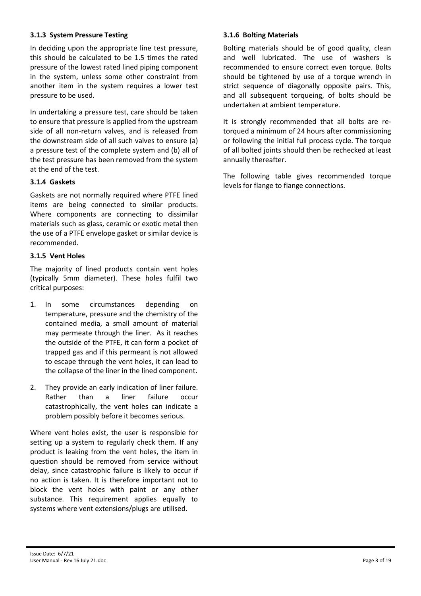#### **3.1.3 System Pressure Testing**

In deciding upon the appropriate line test pressure, this should be calculated to be 1.5 times the rated pressure of the lowest rated lined piping component in the system, unless some other constraint from another item in the system requires a lower test pressure to be used.

In undertaking a pressure test, care should be taken to ensure that pressure is applied from the upstream side of all non-return valves, and is released from the downstream side of all such valves to ensure (a) a pressure test of the complete system and (b) all of the test pressure has been removed from the system at the end of the test.

#### **3.1.4 Gaskets**

Gaskets are not normally required where PTFE lined items are being connected to similar products. Where components are connecting to dissimilar materials such as glass, ceramic or exotic metal then the use of a PTFE envelope gasket or similar device is recommended.

#### **3.1.5 Vent Holes**

The majority of lined products contain vent holes (typically 5mm diameter). These holes fulfil two critical purposes:

- 1. In some circumstances depending on temperature, pressure and the chemistry of the contained media, a small amount of material may permeate through the liner. As it reaches the outside of the PTFE, it can form a pocket of trapped gas and if this permeant is not allowed to escape through the vent holes, it can lead to the collapse of the liner in the lined component.
- 2. They provide an early indication of liner failure. Rather than a liner failure occur catastrophically, the vent holes can indicate a problem possibly before it becomes serious.

Where vent holes exist, the user is responsible for setting up a system to regularly check them. If any product is leaking from the vent holes, the item in question should be removed from service without delay, since catastrophic failure is likely to occur if no action is taken. It is therefore important not to block the vent holes with paint or any other substance. This requirement applies equally to systems where vent extensions/plugs are utilised.

#### **3.1.6 Bolting Materials**

Bolting materials should be of good quality, clean and well lubricated. The use of washers is recommended to ensure correct even torque. Bolts should be tightened by use of a torque wrench in strict sequence of diagonally opposite pairs. This, and all subsequent torqueing, of bolts should be undertaken at ambient temperature.

It is strongly recommended that all bolts are retorqued a minimum of 24 hours after commissioning or following the initial full process cycle. The torque of all bolted joints should then be rechecked at least annually thereafter.

The following table gives recommended torque levels for flange to flange connections.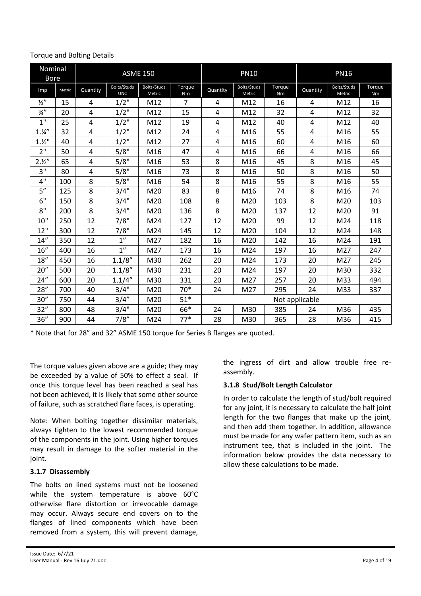| Nominal<br><b>Bore</b> |        |          |                           | <b>ASME 150</b>       |                |                | <b>PN10</b>           |              |                | <b>PN16</b>           |              |
|------------------------|--------|----------|---------------------------|-----------------------|----------------|----------------|-----------------------|--------------|----------------|-----------------------|--------------|
| Imp                    | Metric | Quantity | Bolts/Studs<br><b>UNC</b> | Bolts/Studs<br>Metric | Torque<br>Nm   | Quantity       | Bolts/Studs<br>Metric | Torque<br>Nm | Quantity       | Bolts/Studs<br>Metric | Torque<br>Nm |
| $\frac{1}{2}$          | 15     | 4        | $1/2$ "                   | M12                   | $\overline{7}$ | 4              | M12                   | 16           | 4              | M12                   | 16           |
| $\frac{3}{4}$ "        | 20     | 4        | $1/2$ "                   | M12                   | 15             | 4              | M12                   | 32           | 4              | M12                   | 32           |
| 1"                     | 25     | 4        | $1/2$ "                   | M12                   | 19             | 4              | M12                   | 40           | 4              | M12                   | 40           |
| 1.14''                 | 32     | 4        | $1/2$ "                   | M12                   | 24             | 4              | M16                   | 55           | $\overline{4}$ | M16                   | 55           |
| 1.12"                  | 40     | 4        | 1/2"                      | M12                   | 27             | 4              | M16                   | 60           | 4              | M16                   | 60           |
| 2"                     | 50     | 4        | 5/8"                      | M16                   | 47             | 4              | M16                   | 66           | 4              | M16                   | 66           |
| 2.12''                 | 65     | 4        | 5/8"                      | M16                   | 53             | 8              | M16                   | 45           | 8              | M16                   | 45           |
| 3"                     | 80     | 4        | 5/8"                      | M16                   | 73             | 8              | M16                   | 50           | 8              | M16                   | 50           |
| 4"                     | 100    | 8        | 5/8"                      | M16                   | 54             | 8              | M16                   | 55           | 8              | M16                   | 55           |
| 5''                    | 125    | 8        | 3/4"                      | M20                   | 83             | 8              | M16                   | 74           | 8              | M16                   | 74           |
| 6"                     | 150    | 8        | 3/4"                      | M20                   | 108            | 8              | M20                   | 103          | 8              | M20                   | 103          |
| 8"                     | 200    | 8        | 3/4"                      | M20                   | 136            | 8              | M20                   | 137          | 12             | M20                   | 91           |
| 10"                    | 250    | 12       | 7/8"                      | M24                   | 127            | 12             | M20                   | 99           | 12             | M24                   | 118          |
| 12"                    | 300    | 12       | 7/8"                      | M24                   | 145            | 12             | M20                   | 104          | 12             | M24                   | 148          |
| 14"                    | 350    | 12       | 1 <sup>''</sup>           | M27                   | 182            | 16             | M20                   | 142          | 16             | M24                   | 191          |
| 16"                    | 400    | 16       | 1 <sup>''</sup>           | M27                   | 173            | 16             | M24                   | 197          | 16             | M27                   | 247          |
| 18"                    | 450    | 16       | 1.1/8"                    | M30                   | 262            | 20             | M24                   | 173          | 20             | M27                   | 245          |
| 20"                    | 500    | 20       | 1.1/8"                    | M30                   | 231            | 20             | M24                   | 197          | 20             | M30                   | 332          |
| 24''                   | 600    | 20       | 1.1/4"                    | M30                   | 331            | 20             | M27                   | 257          | 20             | M33                   | 494          |
| 28''                   | 700    | 40       | 3/4"                      | M20                   | 70*            | 24             | M27                   | 295          | 24             | M33                   | 337          |
| 30''                   | 750    | 44       | 3/4''                     | M20                   | $51*$          | Not applicable |                       |              |                |                       |              |
| 32"                    | 800    | 48       | 3/4"                      | M20                   | 66*            | 24             | M30                   | 385          | 24             | M36                   | 435          |
| 36''                   | 900    | 44       | 7/8"                      | M24                   | $77*$          | 28             | M30                   | 365          | 28             | M36                   | 415          |

#### Torque and Bolting Details

\* Note that for 28" and 32" ASME 150 torque for Series B flanges are quoted.

The torque values given above are a guide; they may be exceeded by a value of 50% to effect a seal. If once this torque level has been reached a seal has not been achieved, it is likely that some other source of failure, such as scratched flare faces, is operating.

Note: When bolting together dissimilar materials, always tighten to the lowest recommended torque of the components in the joint. Using higher torques may result in damage to the softer material in the joint.

#### **3.1.7 Disassembly**

The bolts on lined systems must not be loosened while the system temperature is above 60°C otherwise flare distortion or irrevocable damage may occur. Always secure end covers on to the flanges of lined components which have been removed from a system, this will prevent damage, the ingress of dirt and allow trouble free reassembly.

#### **3.1.8 Stud/Bolt Length Calculator**

In order to calculate the length of stud/bolt required for any joint, it is necessary to calculate the half joint length for the two flanges that make up the joint, and then add them together. In addition, allowance must be made for any wafer pattern item, such as an instrument tee, that is included in the joint. The information below provides the data necessary to allow these calculations to be made.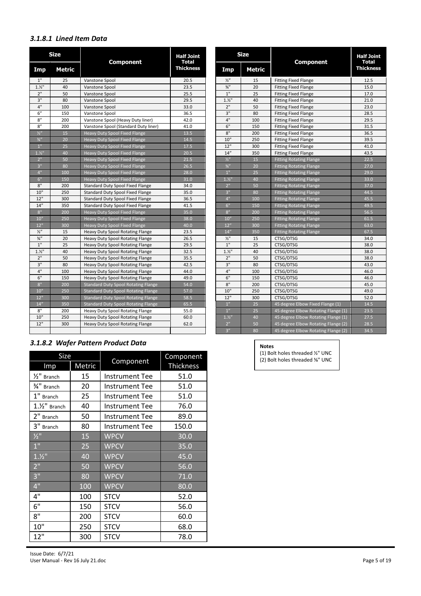### *3.1.8.1 Lined Item Data*

| <b>Size</b>     |               |                                            | <b>Size</b><br><b>Half Joint</b> |                |        | <b>Half Joint</b>                   |                                  |
|-----------------|---------------|--------------------------------------------|----------------------------------|----------------|--------|-------------------------------------|----------------------------------|
| Imp             | <b>Metric</b> | <b>Component</b>                           | Total<br><b>Thickness</b>        | Imp            | Metric | <b>Component</b>                    | <b>Total</b><br><b>Thickness</b> |
| 1"              | 25            | Vanstone Spool                             | 20.5                             | $\frac{1}{2}$  | 15     | <b>Fitting Fixed Flange</b>         | 12.5                             |
| 1.11            | 40            | Vanstone Spool                             | 23.5                             | $\frac{3}{4}$  | 20     | <b>Fitting Fixed Flange</b>         |                                  |
| $2"$            | 50            | Vanstone Spool                             | 25.5                             | 1"             | 25     | <b>Fitting Fixed Flange</b>         |                                  |
| 3"              | 80            | Vanstone Spool                             | 29.5                             | 1.11           | 40     | <b>Fitting Fixed Flange</b>         |                                  |
| 4"              | 100           | Vanstone Spool                             | 33.0                             | 2"             | 50     | <b>Fitting Fixed Flange</b>         |                                  |
| 6"              | 150           | Vanstone Spool                             | 36.5                             | 3"             | 80     | <b>Fitting Fixed Flange</b>         |                                  |
| 8''             | 200           | Vanstone Spool (Heavy Duty liner)          | 42.0                             | 4"             | 100    | <b>Fitting Fixed Flange</b>         |                                  |
| 8''             | 200           | Vanstone Spool (Standard Duty liner)       | 41.0                             | 6"             | 150    | <b>Fitting Fixed Flange</b>         |                                  |
| $\frac{1}{2}$   | 15            | <b>Heavy Duty Spool Fixed Flange</b>       | 13.5                             | 8"             | 200    | <b>Fitting Fixed Flange</b>         |                                  |
| $\frac{3}{4}$ " | 20            | <b>Heavy Duty Spool Fixed Flange</b>       | 14.5                             | 10"            | 250    | <b>Fitting Fixed Flange</b>         |                                  |
| $1"$            | 25            | <b>Heavy Duty Spool Fixed Flange</b>       | 17.5                             | 12"            | 300    | <b>Fitting Fixed Flange</b>         |                                  |
| 1.12            | 40            | Heavy Duty Spool Fixed Flange              | 20.5                             | 14''           | 350    | <b>Fitting Fixed Flange</b>         |                                  |
| 2 <sup>11</sup> | 50            | <b>Heavy Duty Spool Fixed Flange</b>       | 21.5                             | 1/2            | 15     | <b>Fitting Rotating Flange</b>      |                                  |
| 3"              | 80            | Heavy Duty Spool Fixed Flange              | 26.5                             | $\frac{3}{4}$  | 20     | <b>Fitting Rotating Flange</b>      |                                  |
| 4"              | 100           | Heavy Duty Spool Fixed Flange              | 28.0                             | 1"             | 25     | <b>Fitting Rotating Flange</b>      |                                  |
| 6"              | 150           | <b>Heavy Duty Spool Fixed Flange</b>       | 31.0                             | 1.11           | 40     | <b>Fitting Rotating Flange</b>      |                                  |
| 8"              | 200           | Standard Duty Spool Fixed Flange           | 34.0                             | 2"             | 50     | <b>Fitting Rotating Flange</b>      |                                  |
| 10"             | 250           | Standard Duty Spool Fixed Flange           | 35.0                             | 3"             | 80     | <b>Fitting Rotating Flange</b>      |                                  |
| 12"             | 300           | <b>Standard Duty Spool Fixed Flange</b>    | 36.5                             | 4"             | 100    | <b>Fitting Rotating Flange</b>      |                                  |
| 14''            | 350           | Standard Duty Spool Fixed Flange           | 41.5                             | 6"             | 150    | <b>Fitting Rotating Flange</b>      |                                  |
| 8"              | 200           | Heavy Duty Spool Fixed Flange              | 35.0                             | 8''            | 200    | <b>Fitting Rotating Flange</b>      |                                  |
| 10"             | 250           | Heavy Duty Spool Fixed Flange              | 38.0                             | 10''           | 250    | <b>Fitting Rotating Flange</b>      |                                  |
| 12"             | 300           | <b>Heavy Duty Spool Fixed Flange</b>       | 40.0                             | 12"            | 300    | <b>Fitting Rotating Flange</b>      |                                  |
| $\frac{1}{2}$   | 15            | Heavy Duty Spool Rotating Flange           | 23.5                             | 14''           | 350    | <b>Fitting Rotating Flange</b>      |                                  |
| $\frac{3}{4}$ " | 20            | <b>Heavy Duty Spool Rotating Flange</b>    | 26.5                             | $\frac{1}{2}$  | 15     | CTSG/DTSG                           |                                  |
| $1"$            | 25            | <b>Heavy Duty Spool Rotating Flange</b>    | 29.5                             | $1"$           | 25     | CTSG/DTSG                           |                                  |
| 1.11            | 40            | Heavy Duty Spool Rotating Flange           | 32.5                             | 1.11           | 40     | CTSG/DTSG                           |                                  |
| $2"$            | 50            | Heavy Duty Spool Rotating Flange           | 35.5                             | $2"$           | 50     | CTSG/DTSG                           |                                  |
| 3"              | 80            | Heavy Duty Spool Rotating Flange           | 42.5                             | 3"             | 80     | CTSG/DTSG                           |                                  |
| 4"              | 100           | Heavy Duty Spool Rotating Flange           | 44.0                             | 4"             | 100    | CTSG/DTSG                           |                                  |
| 6"              | 150           | Heavy Duty Spool Rotating Flange           | 49.0                             | 6"             | 150    | CTSG/DTSG                           |                                  |
| 8"              | 200           | <b>Standard Duty Spool Rotating Flange</b> | 54.0                             | $8"$           | 200    | CTSG/DTSG                           |                                  |
| 10"             | 250           | <b>Standard Duty Spool Rotating Flange</b> | 57.0                             | 10"            | 250    | CTSG/DTSG                           |                                  |
| 12"             | 300           | <b>Standard Duty Spool Rotating Flange</b> | 58.5                             | 12"            | 300    | CTSG/DTSG                           | 52.0                             |
| 14''            | 350           | <b>Standard Duty Spool Rotating Flange</b> | 65.5                             | 1 <sup>n</sup> | 25     | 45 degree Elbow Fixed Flange (1)    |                                  |
| 8"              | 200           | Heavy Duty Spool Rotating Flange           | 55.0                             | 1 <sup>n</sup> | 25     | 45 degree Elbow Rotating Flange (1) |                                  |
| 10"             | 250           | Heavy Duty Spool Rotating Flange           | 60.0                             | 1.12''         | 40     | 45 degree Elbow Rotating Flange (1) | 27.5                             |
| 12"             | 300           | Heavy Duty Spool Rotating Flange           | 62.0                             | 2 <sup>n</sup> | 50     | 45 degree Elbow Rotating Flange (2) |                                  |
|                 |               |                                            |                                  | 3''            | 80     | 45 degree Elbow Rotating Flange (2) | 34.5                             |

# *3.1.8.2 Wafer Pattern Product Data*

| Size                        |        | Component             | Component<br><b>Thickness</b> |  |
|-----------------------------|--------|-----------------------|-------------------------------|--|
| Imp                         | Metric |                       |                               |  |
| $1/2$ " Branch              | 15     | <b>Instrument Tee</b> | 51.0                          |  |
| 3/4" Branch                 | 20     | <b>Instrument Tee</b> | 51.0                          |  |
| $1"$ Branch                 | 25     | <b>Instrument Tee</b> | 51.0                          |  |
| $1.½$ " Branch              | 40     | Instrument Tee        | 76.0                          |  |
| 2" Branch                   | 50     | Instrument Tee        | 89.0                          |  |
| 3" Branch                   | 80     | Instrument Tee        | 150.0                         |  |
| $\frac{1}{2}$ <sup>11</sup> | 15     | <b>WPCV</b>           | 30.0                          |  |
| $1$ "                       | 25     | <b>WPCV</b>           | 35.0                          |  |
| 1.1/2                       | 40     | <b>WPCV</b>           | 45.0                          |  |
| 2"                          | 50     | <b>WPCV</b>           | 56.0                          |  |
| 3"                          | 80     | <b>WPCV</b>           | 71.0                          |  |
| 4"                          | 100    | <b>WPCV</b>           | 80.0                          |  |
| 4"                          | 100    | <b>STCV</b>           | 52.0                          |  |
| 6"                          | 150    | <b>STCV</b>           | 56.0                          |  |
| 8"                          | 200    | <b>STCV</b>           | 60.0                          |  |
| 10"                         | 250    | <b>STCV</b>           | 68.0                          |  |
| 12"                         | 300    | <b>STCV</b>           | 78.0                          |  |

| Joint<br>tal            |                 | <b>Size</b>   | <b>Component</b>                    | <b>Half Joint</b><br>Total<br><b>Thickness</b> |  |
|-------------------------|-----------------|---------------|-------------------------------------|------------------------------------------------|--|
| ness:                   | Imp             | <b>Metric</b> |                                     |                                                |  |
| .5                      | $\frac{1}{2}$   | 15            | <b>Fitting Fixed Flange</b>         | 12.5                                           |  |
| .5                      | $\frac{3}{4}$ " | 20            | <b>Fitting Fixed Flange</b>         | 15.0                                           |  |
| .5                      | 1"              | 25            | <b>Fitting Fixed Flange</b>         | 17.0                                           |  |
| .5                      | 1.11            | 40            | <b>Fitting Fixed Flange</b>         | 21.0                                           |  |
| .0                      | 2"              | 50            | <b>Fitting Fixed Flange</b>         | 23.0                                           |  |
| .5                      | 3"              | 80            | <b>Fitting Fixed Flange</b>         | 28.5                                           |  |
| .0                      | 4"              | 100           | <b>Fitting Fixed Flange</b>         | 29.5                                           |  |
| 0.                      | 6"              | 150           | <b>Fitting Fixed Flange</b>         | 31.5                                           |  |
| $\overline{.5}$         | $8"$            | 200           | <b>Fitting Fixed Flange</b>         | 36.5                                           |  |
| $\overline{.5}$         | 10"             | 250           | <b>Fitting Fixed Flange</b>         | 39.5                                           |  |
| $\overline{.5}$         | 12"             | 300           | <b>Fitting Fixed Flange</b>         | 41.0                                           |  |
| .5                      | 14''            | 350           | <b>Fitting Fixed Flange</b>         | 43.5                                           |  |
| $\overline{.5}$         | $\frac{1}{2}$   | 15            | <b>Fitting Rotating Flange</b>      | 22.5                                           |  |
| .5                      | $\frac{3}{4}$   | 20            | <b>Fitting Rotating Flange</b>      | 27.0                                           |  |
| $\ddot{\mathbf{0}}$     | 1 <sup>0</sup>  | 25            | <b>Fitting Rotating Flange</b>      | 29.0                                           |  |
| $\overline{\mathbf{0}}$ | 1.11            | 40            | <b>Fitting Rotating Flange</b>      | 33.0                                           |  |
| $.0\,$                  | 2 <sup>11</sup> | 50            | <b>Fitting Rotating Flange</b>      | 37.0                                           |  |
| .0                      | 3"              | 80            | <b>Fitting Rotating Flange</b>      | 44.5                                           |  |
| .5                      | 4"              | 100           | <b>Fitting Rotating Flange</b>      | 45.5                                           |  |
| .5                      | 6"              | 150           | <b>Fitting Rotating Flange</b>      | 49.5                                           |  |
| $\overline{\mathbf{0}}$ | 8''             | 200           | <b>Fitting Rotating Flange</b>      | 56.5                                           |  |
| .0                      | 10''            | 250           | <b>Fitting Rotating Flange</b>      | 61.5                                           |  |
| .0                      | 12"             | 300           | <b>Fitting Rotating Flange</b>      | 63.0                                           |  |
| .5                      | 14''            | 350           | <b>Fitting Rotating Flange</b>      | 67.5                                           |  |
| .5                      | $\frac{1}{2}$ " | 15            | CTSG/DTSG                           | 34.0                                           |  |
| .5                      | 1"              | 25            | CTSG/DTSG                           | 38.0                                           |  |
| .5                      | 1.11            | 40            | CTSG/DTSG                           | 38.0                                           |  |
| .5                      | 2"              | 50            | CTSG/DTSG                           | 38.0                                           |  |
| .5                      | 3"              | 80            | CTSG/DTSG                           | 43.0                                           |  |
| $.0\,$                  | 4"              | 100           | CTSG/DTSG                           | 46.0                                           |  |
| .0                      | 6"              | 150           | CTSG/DTSG                           | 46.0                                           |  |
| .0                      | 8"              | 200           | CTSG/DTSG                           | 45.0                                           |  |
| $\mathbf{0}$            | 10"             | 250           | CTSG/DTSG                           | 49.0                                           |  |
| $\overline{.5}$         | 12"             | 300           | CTSG/DTSG                           | 52.0                                           |  |
| $.5\,$                  | 1 <sup>n</sup>  | 25            | 45 degree Elbow Fixed Flange (1)    | 14.5                                           |  |
| $.0\,$                  | 1 <sup>n</sup>  | 25            | 45 degree Elbow Rotating Flange (1) | 23.5                                           |  |
| .0                      | 1.12''          | 40            | 45 degree Elbow Rotating Flange (1) | 27.5                                           |  |
| .0                      | 2 <sup>n</sup>  | 50            | 45 degree Elbow Rotating Flange (2) | 28.5                                           |  |
|                         | 3''             | 80            | 45 degree Elbow Rotating Flange (2) | 34.5                                           |  |
|                         |                 |               |                                     |                                                |  |

**Notes**

(1) Bolt holes threaded ½" UNC (2) Bolt holes threaded ⅝" UNC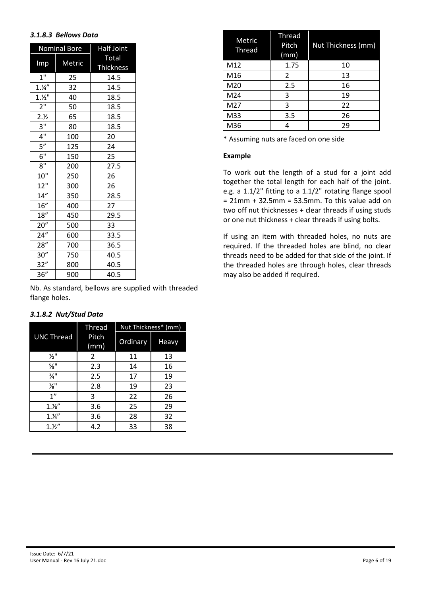#### *3.1.8.3 Bellows Data*

|                         | <b>Nominal Bore</b> | Half Joint       |
|-------------------------|---------------------|------------------|
|                         |                     | Total            |
| $\overline{\text{Imp}}$ | Metric              | <b>Thickness</b> |
| 1 <sup>0</sup>          | 25                  | 14.5             |
| 1.14''                  | 32                  | 14.5             |
| 1.1/2                   | 40                  | 18.5             |
| 2 <sup>n</sup>          | 50                  | 18.5             |
| 2.1/2                   | 65                  | 18.5             |
| $3^{\overline{11}}$     | 80                  | 18.5             |
| 4"                      | 100                 | 20               |
| $5^{\overline{n}}$      | 125                 | 24               |
| 6"                      | 150                 | 25               |
| 8"                      | 200                 | 27.5             |
| 10"                     | 250                 | 26               |
| 12"                     | 300                 | 26               |
| 14''                    | 350                 | 28.5             |
| 16"                     | 400                 | 27               |
| 18"                     | 450                 | 29.5             |
| 20"                     | 500                 | 33               |
| 24''                    | 600                 | 33.5             |
| 28''                    | 700                 | 36.5             |
| 30''                    | 750                 | 40.5             |
| 32"                     | 800                 | 40.5             |
| 36"                     | 900                 | 40.5             |

Nb. As standard, bellows are supplied with threaded flange holes.

|  | 3.1.8.2 Nut/Stud Data |  |
|--|-----------------------|--|
|  | Thread                |  |

|                             | <b>Thread</b> | Nut Thickness* (mm) |       |  |
|-----------------------------|---------------|---------------------|-------|--|
| <b>UNC Thread</b>           | Pitch<br>(mm) | Ordinary            | Heavy |  |
| $\frac{1}{2}$ "             | 2             | 11                  | 13    |  |
| $\frac{5}{8}$ <sup>11</sup> | 2.3           | 14                  | 16    |  |
| $\frac{3}{4}$ "             | 2.5           | 17                  | 19    |  |
| $\frac{7}{8}$ "             | 2.8           | 19                  | 23    |  |
| 1"                          | 3             | 22                  | 26    |  |
| $1.1$ %"                    | 3.6           | 25                  | 29    |  |
| 1.4''                       | 3.6           | 28                  | 32    |  |
| 1.12''                      | 4.2           | 33                  | 38    |  |

| Metric<br>Thread | <b>Thread</b><br>Pitch<br>(mm) | <b>Nut Thickness (mm)</b> |
|------------------|--------------------------------|---------------------------|
| M12              | 1.75                           | 10                        |
| M16              | 2                              | 13                        |
| M20              | 2.5                            | 16                        |
| M24              | 3                              | 19                        |
| M27              | 3                              | 22                        |
| M33              | 3.5                            | 26                        |
| M36              |                                | 29                        |

\* Assuming nuts are faced on one side

#### **Example**

To work out the length of a stud for a joint add together the total length for each half of the joint. e.g. a 1.1/2" fitting to a 1.1/2" rotating flange spool  $= 21$ mm + 32.5mm = 53.5mm. To this value add on two off nut thicknesses + clear threads if using studs or one nut thickness + clear threads if using bolts.

If using an item with threaded holes, no nuts are required. If the threaded holes are blind, no clear threads need to be added for that side of the joint. If the threaded holes are through holes, clear threads may also be added if required.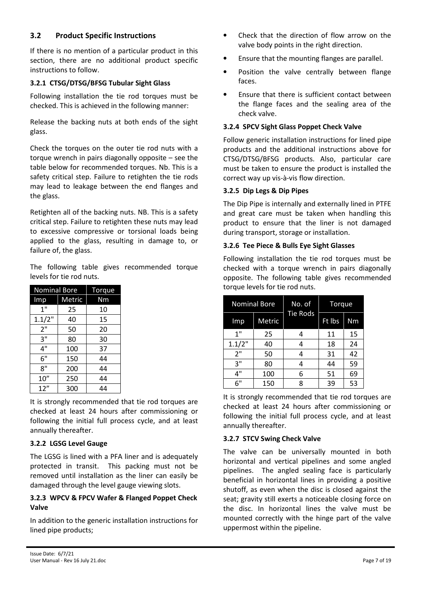## **3.2 Product Specific Instructions**

If there is no mention of a particular product in this section, there are no additional product specific instructions to follow.

#### **3.2.1 CTSG/DTSG/BFSG Tubular Sight Glass**

Following installation the tie rod torques must be checked. This is achieved in the following manner:

Release the backing nuts at both ends of the sight glass.

Check the torques on the outer tie rod nuts with a torque wrench in pairs diagonally opposite – see the table below for recommended torques. Nb. This is a safety critical step. Failure to retighten the tie rods may lead to leakage between the end flanges and the glass.

Retighten all of the backing nuts. NB. This is a safety critical step. Failure to retighten these nuts may lead to excessive compressive or torsional loads being applied to the glass, resulting in damage to, or failure of, the glass.

The following table gives recommended torque levels for tie rod nuts.

| <b>Nominal Bore</b> | Torque |    |
|---------------------|--------|----|
| Imp                 | Metric | Nm |
| 1"                  | 25     | 10 |
| 1.1/2"              | 40     | 15 |
| 2"                  | 50     | 20 |
| 3"                  | 80     | 30 |
| 4"                  | 100    | 37 |
| 6"                  | 150    | 44 |
| 8"                  | 200    | 44 |
| 10''                | 250    | 44 |
| 12''                | 300    | 44 |

It is strongly recommended that tie rod torques are checked at least 24 hours after commissioning or following the initial full process cycle, and at least annually thereafter.

#### **3.2.2 LGSG Level Gauge**

The LGSG is lined with a PFA liner and is adequately protected in transit. This packing must not be removed until installation as the liner can easily be damaged through the level gauge viewing slots.

#### **3.2.3 WPCV & FPCV Wafer & Flanged Poppet Check Valve**

In addition to the generic installation instructions for lined pipe products;

- Check that the direction of flow arrow on the valve body points in the right direction.
- Ensure that the mounting flanges are parallel.
- Position the valve centrally between flange faces.
- Ensure that there is sufficient contact between the flange faces and the sealing area of the check valve.

#### **3.2.4 SPCV Sight Glass Poppet Check Valve**

Follow generic installation instructions for lined pipe products and the additional instructions above for CTSG/DTSG/BFSG products. Also, particular care must be taken to ensure the product is installed the correct way up vis-à-vis flow direction.

#### **3.2.5 Dip Legs & Dip Pipes**

The Dip Pipe is internally and externally lined in PTFE and great care must be taken when handling this product to ensure that the liner is not damaged during transport, storage or installation.

#### **3.2.6 Tee Piece & Bulls Eye Sight Glasses**

Following installation the tie rod torques must be checked with a torque wrench in pairs diagonally opposite. The following table gives recommended torque levels for tie rod nuts.

|        | <b>Nominal Bore</b> | No. of          | Torque |    |  |
|--------|---------------------|-----------------|--------|----|--|
| Imp    | Metric              | <b>Tie Rods</b> | Ft Ibs | Nm |  |
| 1"     | 25                  |                 | 11     | 15 |  |
| 1.1/2" | 40                  | 4               | 18     | 24 |  |
| 2"     | 50                  |                 | 31     | 42 |  |
| 3"     | 80                  |                 | 44     | 59 |  |
| 4"     | 100                 | 6               | 51     | 69 |  |
| 6"     | 150                 | 8               | 39     | 53 |  |

It is strongly recommended that tie rod torques are checked at least 24 hours after commissioning or following the initial full process cycle, and at least annually thereafter.

#### **3.2.7 STCV Swing Check Valve**

The valve can be universally mounted in both horizontal and vertical pipelines and some angled pipelines. The angled sealing face is particularly beneficial in horizontal lines in providing a positive shutoff, as even when the disc is closed against the seat; gravity still exerts a noticeable closing force on the disc. In horizontal lines the valve must be mounted correctly with the hinge part of the valve uppermost within the pipeline.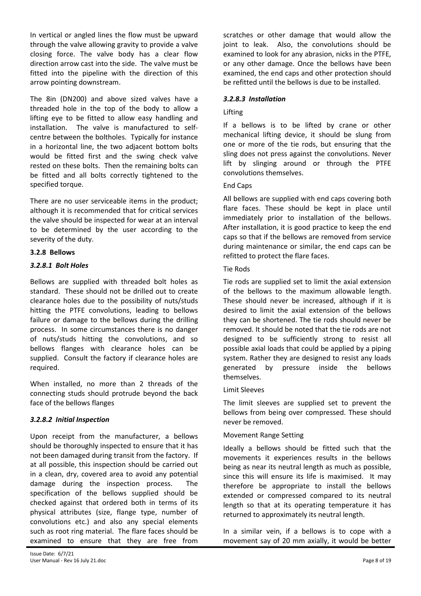In vertical or angled lines the flow must be upward through the valve allowing gravity to provide a valve closing force. The valve body has a clear flow direction arrow cast into the side. The valve must be fitted into the pipeline with the direction of this arrow pointing downstream.

The 8in (DN200) and above sized valves have a threaded hole in the top of the body to allow a lifting eye to be fitted to allow easy handling and installation. The valve is manufactured to selfcentre between the boltholes. Typically for instance in a horizontal line, the two adjacent bottom bolts would be fitted first and the swing check valve rested on these bolts. Then the remaining bolts can be fitted and all bolts correctly tightened to the specified torque.

There are no user serviceable items in the product; although it is recommended that for critical services the valve should be inspected for wear at an interval to be determined by the user according to the severity of the duty.

#### **3.2.8 Bellows**

#### *3.2.8.1 Bolt Holes*

Bellows are supplied with threaded bolt holes as standard. These should not be drilled out to create clearance holes due to the possibility of nuts/studs hitting the PTFE convolutions, leading to bellows failure or damage to the bellows during the drilling process. In some circumstances there is no danger of nuts/studs hitting the convolutions, and so bellows flanges with clearance holes can be supplied. Consult the factory if clearance holes are required.

When installed, no more than 2 threads of the connecting studs should protrude beyond the back face of the bellows flanges

#### *3.2.8.2 Initial Inspection*

Upon receipt from the manufacturer, a bellows should be thoroughly inspected to ensure that it has not been damaged during transit from the factory. If at all possible, this inspection should be carried out in a clean, dry, covered area to avoid any potential damage during the inspection process. The specification of the bellows supplied should be checked against that ordered both in terms of its physical attributes (size, flange type, number of convolutions etc.) and also any special elements such as root ring material. The flare faces should be examined to ensure that they are free from

scratches or other damage that would allow the joint to leak. Also, the convolutions should be examined to look for any abrasion, nicks in the PTFE, or any other damage. Once the bellows have been examined, the end caps and other protection should be refitted until the bellows is due to be installed.

#### *3.2.8.3 Installation*

#### Lifting

If a bellows is to be lifted by crane or other mechanical lifting device, it should be slung from one or more of the tie rods, but ensuring that the sling does not press against the convolutions. Never lift by slinging around or through the PTFE convolutions themselves.

#### End Caps

All bellows are supplied with end caps covering both flare faces. These should be kept in place until immediately prior to installation of the bellows. After installation, it is good practice to keep the end caps so that if the bellows are removed from service during maintenance or similar, the end caps can be refitted to protect the flare faces.

#### Tie Rods

Tie rods are supplied set to limit the axial extension of the bellows to the maximum allowable length. These should never be increased, although if it is desired to limit the axial extension of the bellows they can be shortened. The tie rods should never be removed. It should be noted that the tie rods are not designed to be sufficiently strong to resist all possible axial loads that could be applied by a piping system. Rather they are designed to resist any loads generated by pressure inside the bellows themselves.

#### Limit Sleeves

The limit sleeves are supplied set to prevent the bellows from being over compressed. These should never be removed.

#### Movement Range Setting

Ideally a bellows should be fitted such that the movements it experiences results in the bellows being as near its neutral length as much as possible, since this will ensure its life is maximised. It may therefore be appropriate to install the bellows extended or compressed compared to its neutral length so that at its operating temperature it has returned to approximately its neutral length.

In a similar vein, if a bellows is to cope with a movement say of 20 mm axially, it would be better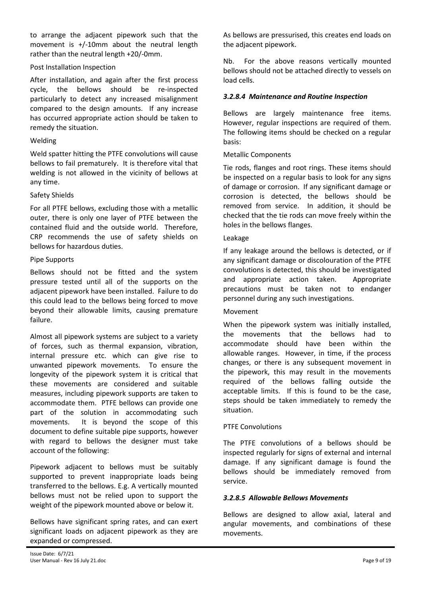to arrange the adjacent pipework such that the movement is +/-10mm about the neutral length rather than the neutral length +20/-0mm.

#### Post Installation Inspection

After installation, and again after the first process cycle, the bellows should be re-inspected particularly to detect any increased misalignment compared to the design amounts. If any increase has occurred appropriate action should be taken to remedy the situation.

#### Welding

Weld spatter hitting the PTFE convolutions will cause bellows to fail prematurely. It is therefore vital that welding is not allowed in the vicinity of bellows at any time.

#### Safety Shields

For all PTFE bellows, excluding those with a metallic outer, there is only one layer of PTFE between the contained fluid and the outside world. Therefore, CRP recommends the use of safety shields on bellows for hazardous duties.

#### Pipe Supports

Bellows should not be fitted and the system pressure tested until all of the supports on the adjacent pipework have been installed. Failure to do this could lead to the bellows being forced to move beyond their allowable limits, causing premature failure.

Almost all pipework systems are subject to a variety of forces, such as thermal expansion, vibration, internal pressure etc. which can give rise to unwanted pipework movements. To ensure the longevity of the pipework system it is critical that these movements are considered and suitable measures, including pipework supports are taken to accommodate them. PTFE bellows can provide one part of the solution in accommodating such movements. It is beyond the scope of this document to define suitable pipe supports, however with regard to bellows the designer must take account of the following:

Pipework adjacent to bellows must be suitably supported to prevent inappropriate loads being transferred to the bellows. E.g. A vertically mounted bellows must not be relied upon to support the weight of the pipework mounted above or below it.

Bellows have significant spring rates, and can exert significant loads on adjacent pipework as they are expanded or compressed.

As bellows are pressurised, this creates end loads on the adjacent pipework.

Nb. For the above reasons vertically mounted bellows should not be attached directly to vessels on load cells.

#### *3.2.8.4 Maintenance and Routine Inspection*

Bellows are largely maintenance free items. However, regular inspections are required of them. The following items should be checked on a regular basis:

#### Metallic Components

Tie rods, flanges and root rings. These items should be inspected on a regular basis to look for any signs of damage or corrosion. If any significant damage or corrosion is detected, the bellows should be removed from service. In addition, it should be checked that the tie rods can move freely within the holes in the bellows flanges.

#### Leakage

If any leakage around the bellows is detected, or if any significant damage or discolouration of the PTFE convolutions is detected, this should be investigated and appropriate action taken. Appropriate precautions must be taken not to endanger personnel during any such investigations.

#### Movement

When the pipework system was initially installed, the movements that the bellows had to accommodate should have been within the allowable ranges. However, in time, if the process changes, or there is any subsequent movement in the pipework, this may result in the movements required of the bellows falling outside the acceptable limits. If this is found to be the case, steps should be taken immediately to remedy the situation.

#### PTFE Convolutions

The PTFE convolutions of a bellows should be inspected regularly for signs of external and internal damage. If any significant damage is found the bellows should be immediately removed from service.

#### *3.2.8.5 Allowable Bellows Movements*

Bellows are designed to allow axial, lateral and angular movements, and combinations of these movements.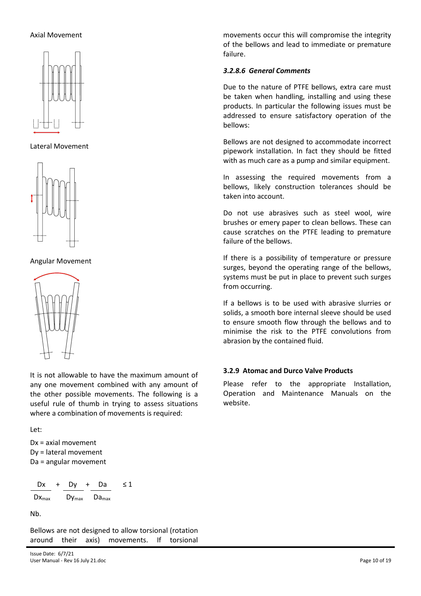#### Axial Movement



Lateral Movement



Angular Movement



It is not allowable to have the maximum amount of any one movement combined with any amount of the other possible movements. The following is a useful rule of thumb in trying to assess situations where a combination of movements is required:

Let:

Dx = axial movement Dy = lateral movement Da = angular movement

$$
\frac{Dx}{Dx_{max}} + \frac{Dy}{Dy_{max}} + \frac{Da}{Da_{max}} \le 1
$$

Nb.

Bellows are not designed to allow torsional (rotation around their axis) movements. If torsional movements occur this will compromise the integrity of the bellows and lead to immediate or premature failure.

## *3.2.8.6 General Comments*

Due to the nature of PTFE bellows, extra care must be taken when handling, installing and using these products. In particular the following issues must be addressed to ensure satisfactory operation of the bellows:

Bellows are not designed to accommodate incorrect pipework installation. In fact they should be fitted with as much care as a pump and similar equipment.

In assessing the required movements from a bellows, likely construction tolerances should be taken into account.

Do not use abrasives such as steel wool, wire brushes or emery paper to clean bellows. These can cause scratches on the PTFE leading to premature failure of the bellows.

If there is a possibility of temperature or pressure surges, beyond the operating range of the bellows, systems must be put in place to prevent such surges from occurring.

If a bellows is to be used with abrasive slurries or solids, a smooth bore internal sleeve should be used to ensure smooth flow through the bellows and to minimise the risk to the PTFE convolutions from abrasion by the contained fluid.

#### **3.2.9 Atomac and Durco Valve Products**

Please refer to the appropriate Installation, Operation and Maintenance Manuals on the website.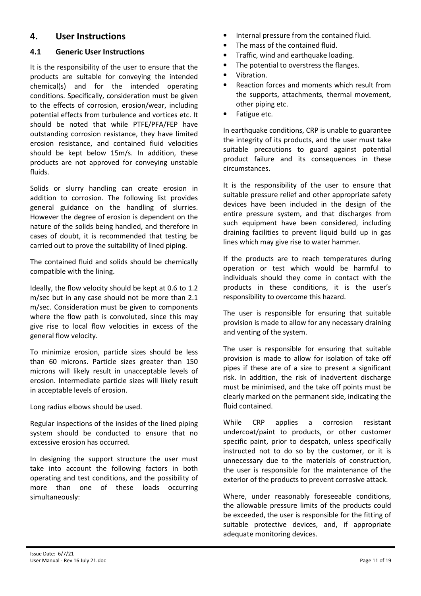# **4. User Instructions**

# **4.1 Generic User Instructions**

It is the responsibility of the user to ensure that the products are suitable for conveying the intended chemical(s) and for the intended operating conditions. Specifically, consideration must be given to the effects of corrosion, erosion/wear, including potential effects from turbulence and vortices etc. It should be noted that while PTFE/PFA/FEP have outstanding corrosion resistance, they have limited erosion resistance, and contained fluid velocities should be kept below 15m/s. In addition, these products are not approved for conveying unstable fluids.

Solids or slurry handling can create erosion in addition to corrosion. The following list provides general guidance on the handling of slurries. However the degree of erosion is dependent on the nature of the solids being handled, and therefore in cases of doubt, it is recommended that testing be carried out to prove the suitability of lined piping.

The contained fluid and solids should be chemically compatible with the lining.

Ideally, the flow velocity should be kept at 0.6 to 1.2 m/sec but in any case should not be more than 2.1 m/sec. Consideration must be given to components where the flow path is convoluted, since this may give rise to local flow velocities in excess of the general flow velocity.

To minimize erosion, particle sizes should be less than 60 microns. Particle sizes greater than 150 microns will likely result in unacceptable levels of erosion. Intermediate particle sizes will likely result in acceptable levels of erosion.

Long radius elbows should be used.

Regular inspections of the insides of the lined piping system should be conducted to ensure that no excessive erosion has occurred.

In designing the support structure the user must take into account the following factors in both operating and test conditions, and the possibility of more than one of these loads occurring simultaneously:

- Internal pressure from the contained fluid.
- The mass of the contained fluid.
- Traffic, wind and earthquake loading.
- The potential to overstress the flanges.
- Vibration.
- Reaction forces and moments which result from the supports, attachments, thermal movement, other piping etc.
- Fatigue etc.

In earthquake conditions, CRP is unable to guarantee the integrity of its products, and the user must take suitable precautions to guard against potential product failure and its consequences in these circumstances.

It is the responsibility of the user to ensure that suitable pressure relief and other appropriate safety devices have been included in the design of the entire pressure system, and that discharges from such equipment have been considered, including draining facilities to prevent liquid build up in gas lines which may give rise to water hammer.

If the products are to reach temperatures during operation or test which would be harmful to individuals should they come in contact with the products in these conditions, it is the user's responsibility to overcome this hazard.

The user is responsible for ensuring that suitable provision is made to allow for any necessary draining and venting of the system.

The user is responsible for ensuring that suitable provision is made to allow for isolation of take off pipes if these are of a size to present a significant risk. In addition, the risk of inadvertent discharge must be minimised, and the take off points must be clearly marked on the permanent side, indicating the fluid contained.

While CRP applies a corrosion resistant undercoat/paint to products, or other customer specific paint, prior to despatch, unless specifically instructed not to do so by the customer, or it is unnecessary due to the materials of construction, the user is responsible for the maintenance of the exterior of the products to prevent corrosive attack.

Where, under reasonably foreseeable conditions, the allowable pressure limits of the products could be exceeded, the user is responsible for the fitting of suitable protective devices, and, if appropriate adequate monitoring devices.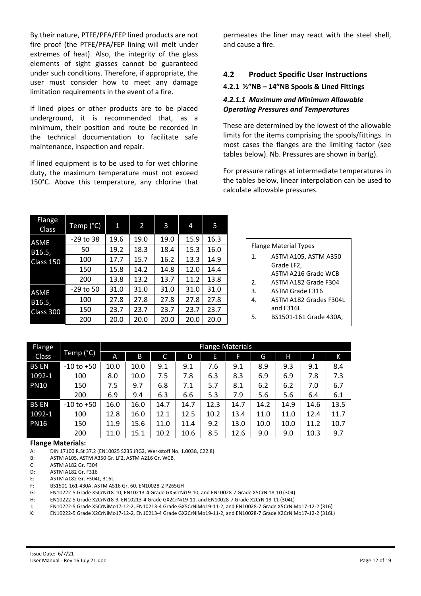By their nature, PTFE/PFA/FEP lined products are not fire proof (the PTFE/PFA/FEP lining will melt under extremes of heat). Also, the integrity of the glass elements of sight glasses cannot be guaranteed under such conditions. Therefore, if appropriate, the user must consider how to meet any damage limitation requirements in the event of a fire.

If lined pipes or other products are to be placed underground, it is recommended that, as a minimum, their position and route be recorded in the technical documentation to facilitate safe maintenance, inspection and repair.

If lined equipment is to be used to for wet chlorine duty, the maximum temperature must not exceed 150°C. Above this temperature, any chlorine that permeates the liner may react with the steel shell, and cause a fire.

# **4.2 Product Specific User Instructions**

#### **4.2.1 ½"NB – 14"NB Spools & Lined Fittings**

#### *4.2.1.1 Maximum and Minimum Allowable Operating Pressures and Temperatures*

These are determined by the lowest of the allowable limits for the items comprising the spools/fittings. In most cases the flanges are the limiting factor (see tables below). Nb. Pressures are shown in bar(g).

For pressure ratings at intermediate temperatures in the tables below, linear interpolation can be used to calculate allowable pressures.

| <b>Flange</b><br><b>Class</b> | Temp (°C)   | 1    | 2    | 3    | 4    | 5    |
|-------------------------------|-------------|------|------|------|------|------|
| <b>ASME</b>                   | $-29$ to 38 | 19.6 | 19.0 | 19.0 | 15.9 | 16.3 |
| B16.5,                        | 50          | 19.2 | 18.3 | 18.4 | 15.3 | 16.0 |
| Class 150                     | 100         | 17.7 | 15.7 | 16.2 | 13.3 | 14.9 |
|                               | 150         | 15.8 | 14.2 | 14.8 | 12.0 | 14.4 |
|                               | 200         | 13.8 | 13.2 | 13.7 | 11.2 | 13.8 |
| <b>ASME</b>                   | $-29$ to 50 | 31.0 | 31.0 | 31.0 | 31.0 | 31.0 |
| B16.5,                        | 100         | 27.8 | 27.8 | 27.8 | 27.8 | 27.8 |
| Class 300                     | 150         | 23.7 | 23.7 | 23.7 | 23.7 | 23.7 |
|                               | 200         | 20.0 | 20.0 | 20.0 | 20.0 | 20.0 |

|                | <b>Flange Material Types</b> |
|----------------|------------------------------|
| $\mathbf{1}$ . | ASTM A105, ASTM A350         |
|                | Grade LF2,                   |
|                | ASTM A216 Grade WCB          |
| 2.             | ASTM A182 Grade F304         |
| 3.             | <b>ASTM Grade F316</b>       |
| 4              | ASTM A182 Grades F304L       |
|                | and F316L                    |
| 5.             | BS1501-161 Grade 430A,       |
|                |                              |

| <b>Flange</b> |                |      | <b>Flange Materials</b> |      |      |      |      |      |      |      |      |
|---------------|----------------|------|-------------------------|------|------|------|------|------|------|------|------|
| Class         | Temp (°C)      | A    | B                       | C    | D    | E    | F    | G    | Н    |      | K    |
| <b>BS EN</b>  | $-10$ to $+50$ | 10.0 | 10.0                    | 9.1  | 9.1  | 7.6  | 9.1  | 8.9  | 9.3  | 9.1  | 8.4  |
| 1092-1        | 100            | 8.0  | 10.0                    | 7.5  | 7.8  | 6.3  | 8.3  | 6.9  | 6.9  | 7.8  | 7.3  |
| <b>PN10</b>   | 150            | 7.5  | 9.7                     | 6.8  | 7.1  | 5.7  | 8.1  | 6.2  | 6.2  | 7.0  | 6.7  |
|               | 200            | 6.9  | 9.4                     | 6.3  | 6.6  | 5.3  | 7.9  | 5.6  | 5.6  | 6.4  | 6.1  |
| <b>BS EN</b>  | $-10$ to $+50$ | 16.0 | 16.0                    | 14.7 | 14.7 | 12.3 | 14.7 | 14.2 | 14.9 | 14.6 | 13.5 |
| 1092-1        | 100            | 12.8 | 16.0                    | 12.1 | 12.5 | 10.2 | 13.4 | 11.0 | 11.0 | 12.4 | 11.7 |
| <b>PN16</b>   | 150            | 11.9 | 15.6                    | 11.0 | 11.4 | 9.2  | 13.0 | 10.0 | 10.0 | 11.2 | 10.7 |
|               | 200            | 11.0 | 15.1                    | 10.2 | 10.6 | 8.5  | 12.6 | 9.0  | 9.0  | 10.3 | 9.7  |

#### **Flange Materials:**

A: DIN 17100 R.St 37.2 (EN10025 S235 JRG2, Werkstoff No. 1.0038, C22.8)

B: ASTM A105, ASTM A350 Gr. LF2, ASTM A216 Gr. WCB.

C: ASTM A182 Gr. F304

D: ASTM A182 Gr. F316

E: ASTM A182 Gr. F304L, 316L

F: BS1501-161-430A, ASTM A516 Gr. 60, EN10028-2 P265GH

G: EN10222-5 Grade X5CrNi18-10, EN10213-4 Grade GX5CrNi19-10, and EN10028-7 Grade X5CrNi18-10 (304)

H: EN10222-5 Grade X2CrNi18-9, EN10213-4 Grade GX2CrNi19-11, and EN10028-7 Grade X2CrNi19-11 (304L)

J: EN10222-5 Grade X5CrNiMo17-12-2, EN10213-4 Grade GX5CrNiMo19-11-2, and EN10028-7 Grade X5CrNiMo17-12-2 (316)

K: EN10222-5 Grade X2CrNiMo17-12-2, EN10213-4 Grade GX2CrNiMo19-11-2, and EN10028-7 Grade X2CrNiMo17-12-2 (316L)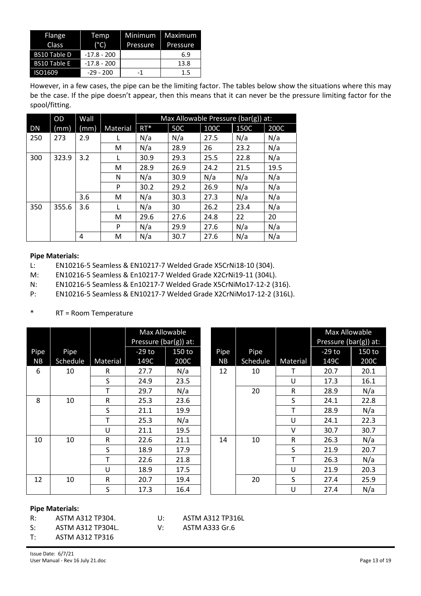| Flange<br>Class     | Temp<br>$(^{\circ}C)$ | Minimum<br>Pressure | Maximum<br>Pressure |
|---------------------|-----------------------|---------------------|---------------------|
| <b>BS10 Table D</b> | $-17.8 - 200$         |                     | 6.9                 |
| <b>BS10 Table E</b> | $-17.8 - 200$         |                     | 13.8                |
| ISO1609             | $-29 - 200$           | -1                  | $1.5\,$             |

However, in a few cases, the pipe can be the limiting factor. The tables below show the situations where this may be the case. If the pipe doesn't appear, then this means that it can never be the pressure limiting factor for the spool/fitting.

|           | OD    | Wall |          |        | Max Allowable Pressure (bar(g)) at: |      |      |      |
|-----------|-------|------|----------|--------|-------------------------------------|------|------|------|
| <b>DN</b> | (mm)  | (mm) | Material | $RT^*$ | <b>50C</b>                          | 100C | 150C | 200C |
| 250       | 273   | 2.9  |          | N/a    | N/a                                 | 27.5 | N/a  | N/a  |
|           |       |      | м        | N/a    | 28.9                                | 26   | 23.2 | N/a  |
| 300       | 323.9 | 3.2  | L        | 30.9   | 29.3                                | 25.5 | 22.8 | N/a  |
|           |       |      | м        | 28.9   | 26.9                                | 24.2 | 21.5 | 19.5 |
|           |       |      | N        | N/a    | 30.9                                | N/a  | N/a  | N/a  |
|           |       |      | P        | 30.2   | 29.2                                | 26.9 | N/a  | N/a  |
|           |       | 3.6  | м        | N/a    | 30.3                                | 27.3 | N/a  | N/a  |
| 350       | 355.6 | 3.6  |          | N/a    | 30                                  | 26.2 | 23.4 | N/a  |
|           |       |      | м        | 29.6   | 27.6                                | 24.8 | 22   | 20   |
|           |       |      | P        | N/a    | 29.9                                | 27.6 | N/a  | N/a  |
|           |       | 4    | M        | N/a    | 30.7                                | 27.6 | N/a  | N/a  |

#### **Pipe Materials:**

L: EN10216-5 Seamless & EN10217-7 Welded Grade X5CrNi18-10 (304).

M: EN10216-5 Seamless & En10217-7 Welded Grade X2CrNi19-11 (304L).

N: EN10216-5 Seamless & En10217-7 Welded Grade X5CrNiMo17-12-2 (316).

P: EN10216-5 Seamless & EN10217-7 Welded Grade X2CrNiMo17-12-2 (316L).

#### \* RT = Room Temperature

|      |          |          | Max Allowable         |        |  |           |          |          | Max Allowable         |        |
|------|----------|----------|-----------------------|--------|--|-----------|----------|----------|-----------------------|--------|
|      |          |          | Pressure (bar(g)) at: |        |  |           |          |          | Pressure (bar(g)) at: |        |
| Pipe | Pipe     |          | $-29$ to              | 150 to |  | Pipe      | Pipe     |          | $-29$ to              | 150 to |
| NB   | Schedule | Material | 149C                  | 200C   |  | <b>NB</b> | Schedule | Material | 149C                  | 200C   |
| 6    | 10       | R.       | 27.7                  | N/a    |  | 12        | 10       | т        | 20.7                  | 20.1   |
|      |          | S        | 24.9                  | 23.5   |  |           |          | U        | 17.3                  | 16.1   |
|      |          | т        | 29.7                  | N/a    |  |           | 20       | R        | 28.9                  | N/a    |
| 8    | 10       | R        | 25.3                  | 23.6   |  |           |          | S        | 24.1                  | 22.8   |
|      |          | S        | 21.1                  | 19.9   |  |           |          |          | 28.9                  | N/a    |
|      |          | т        | 25.3                  | N/a    |  |           |          | U        | 24.1                  | 22.3   |
|      |          | U        | 21.1                  | 19.5   |  |           |          | v        | 30.7                  | 30.7   |
| 10   | 10       | R        | 22.6                  | 21.1   |  | 14        | 10       | R        | 26.3                  | N/a    |
|      |          | S        | 18.9                  | 17.9   |  |           |          | S        | 21.9                  | 20.7   |
|      |          |          | 22.6                  | 21.8   |  |           |          |          | 26.3                  | N/a    |
|      |          | U        | 18.9                  | 17.5   |  |           |          | U        | 21.9                  | 20.3   |
| 12   | 10       | R        | 20.7                  | 19.4   |  |           | 20       | S        | 27.4                  | 25.9   |
|      |          | S        | 17.3                  | 16.4   |  |           |          | U        | 27.4                  | N/a    |

#### **Pipe Materials:**

R: ASTM A312 TP304. U: ASTM A312 TP316L

S: ASTM A312 TP304L. V: ASTM A333 Gr.6

T: ASTM A312 TP316

Issue Date: 6/7/21

User Manual - Rev 16 July 21.doc Page 13 of 19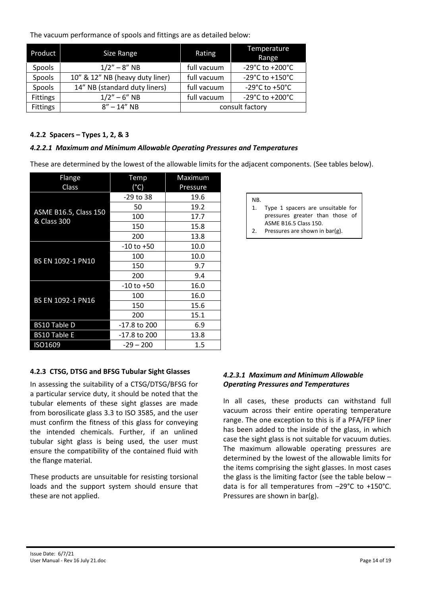The vacuum performance of spools and fittings are as detailed below:

| Product         | Size Range                      | Rating      | Temperature<br>Range                  |
|-----------------|---------------------------------|-------------|---------------------------------------|
| Spools          | $1/2" - 8" NB$                  | full vacuum | $-29^{\circ}$ C to $+200^{\circ}$ C   |
| Spools          | 10" & 12" NB (heavy duty liner) | full vacuum | -29 $^{\circ}$ C to +150 $^{\circ}$ C |
| Spools          | 14" NB (standard duty liners)   | full vacuum | -29 $^{\circ}$ C to +50 $^{\circ}$ C  |
| <b>Fittings</b> | $1/2" - 6" NB$                  | full vacuum | $-29^{\circ}$ C to $+200^{\circ}$ C   |
| <b>Fittings</b> | $8'' - 14''$ NB                 |             | consult factory                       |

#### **4.2.2 Spacers – Types 1, 2, & 3**

#### *4.2.2.1 Maximum and Minimum Allowable Operating Pressures and Temperatures*

These are determined by the lowest of the allowable limits for the adjacent components. (See tables below).

| Flange                                      | Temp           | Maximum  |
|---------------------------------------------|----------------|----------|
| Class                                       | (°C)           | Pressure |
|                                             | -29 to 38      | 19.6     |
|                                             | 50             | 19.2     |
| <b>ASME B16.5, Class 150</b><br>& Class 300 | 100            | 17.7     |
|                                             | 150            | 15.8     |
|                                             | 200            | 13.8     |
|                                             | $-10$ to $+50$ | 10.0     |
| BS EN 1092-1 PN10                           | 100            | 10.0     |
|                                             | 150            | 9.7      |
|                                             | 200            | 9.4      |
|                                             | $-10$ to $+50$ | 16.0     |
| BS EN 1092-1 PN16                           | 100            | 16.0     |
|                                             | 150            | 15.6     |
|                                             | 200            | 15.1     |
| <b>BS10 Table D</b>                         | -17.8 to 200   | 6.9      |
| <b>BS10 Table E</b>                         | -17.8 to 200   | 13.8     |
| ISO1609                                     | $-29 - 200$    | 1.5      |

#### NB.

- 1. Type 1 spacers are unsuitable for pressures greater than those of ASME B16.5 Class 150.
- 2. Pressures are shown in bar(g).

# **4.2.3 CTSG, DTSG and BFSG Tubular Sight Glasses**

In assessing the suitability of a CTSG/DTSG/BFSG for a particular service duty, it should be noted that the tubular elements of these sight glasses are made from borosilicate glass 3.3 to ISO 3585, and the user must confirm the fitness of this glass for conveying the intended chemicals. Further, if an unlined tubular sight glass is being used, the user must ensure the compatibility of the contained fluid with the flange material.

These products are unsuitable for resisting torsional loads and the support system should ensure that these are not applied.

# *4.2.3.1 Maximum and Minimum Allowable Operating Pressures and Temperatures*

In all cases, these products can withstand full vacuum across their entire operating temperature range. The one exception to this is if a PFA/FEP liner has been added to the inside of the glass, in which case the sight glass is not suitable for vacuum duties. The maximum allowable operating pressures are determined by the lowest of the allowable limits for the items comprising the sight glasses. In most cases the glass is the limiting factor (see the table below – data is for all temperatures from –29°C to +150°C. Pressures are shown in bar(g).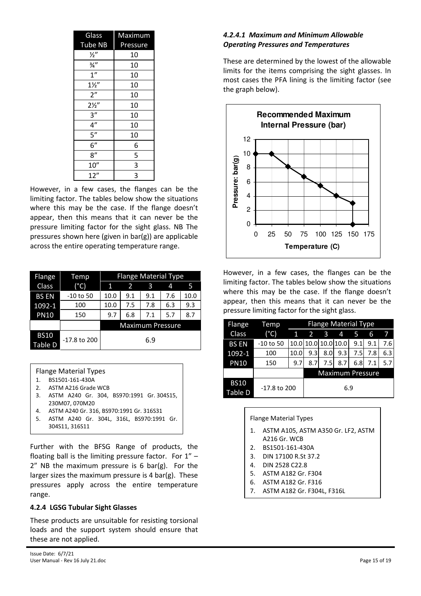| Glass            | Maximum  |
|------------------|----------|
| <b>Tube NB</b>   | Pressure |
| $\frac{1}{2}$    | 10       |
| $\frac{3}{4}$ "  | 10       |
| 1''              | 10       |
| $1\frac{1}{2}$   | 10       |
| 2"               | 10       |
| $2\frac{1}{2}$   | 10       |
| 3''              | 10       |
| $\frac{4^n}{n}$  | 10       |
| $\overline{5}$ " | 10       |
| 6''              | 6        |
| 8''              | 5        |
| 10''             | 3        |
| 12"              | 3        |

However, in a few cases, the flanges can be the limiting factor. The tables below show the situations where this may be the case. If the flange doesn't appear, then this means that it can never be the pressure limiting factor for the sight glass. NB The pressures shown here (given in bar(g)) are applicable across the entire operating temperature range.

| Flange                 | Temp          | <b>Flange Material Type</b> |                         |     |     |      |  |
|------------------------|---------------|-----------------------------|-------------------------|-----|-----|------|--|
| <b>Class</b>           | $(^{\circ}C)$ | 1                           | 2                       | 3   | 4   | 5    |  |
| <b>BS EN</b>           | $-10$ to 50   | 10.0                        | 9.1                     | 9.1 | 7.6 | 10.0 |  |
| 1092-1                 | 100           | 10.0                        | 7.5                     | 7.8 | 6.3 | 9.3  |  |
| <b>PN10</b>            | 150           | 9.7                         | 6.8                     | 7.1 | 5.7 | 8.7  |  |
|                        |               |                             | <b>Maximum Pressure</b> |     |     |      |  |
| <b>BS10</b><br>Table D | -17.8 to 200  | 6.9                         |                         |     |     |      |  |

Flange Material Types

- 1. BS1501-161-430A
- 2. ASTM A216 Grade WCB
- 3. ASTM A240 Gr. 304, BS970:1991 Gr. 304S15, 230M07, 070M20
- 4. ASTM A240 Gr. 316, BS970:1991 Gr. 316S31
- 5. ASTM A240 Gr. 304L, 316L, BS970:1991 Gr.
- 304S11, 316S11

Further with the BFSG Range of products, the floating ball is the limiting pressure factor. For 1" – 2" NB the maximum pressure is 6 bar(g). For the larger sizes the maximum pressure is 4 bar(g). These pressures apply across the entire temperature range.

#### **4.2.4 LGSG Tubular Sight Glasses**

These products are unsuitable for resisting torsional loads and the support system should ensure that these are not applied.

## *4.2.4.1 Maximum and Minimum Allowable Operating Pressures and Temperatures*

These are determined by the lowest of the allowable limits for the items comprising the sight glasses. In most cases the PFA lining is the limiting factor (see the graph below).



However, in a few cases, the flanges can be the limiting factor. The tables below show the situations where this may be the case. If the flange doesn't appear, then this means that it can never be the pressure limiting factor for the sight glass.

| Flange                 | <b>Flange Material Type</b><br>Temp |      |                         |     |                         |     |     |     |
|------------------------|-------------------------------------|------|-------------------------|-----|-------------------------|-----|-----|-----|
| Class                  | (°C)                                | 1    | $\overline{\mathbf{c}}$ | 3   | 4                       | 5   | 6   |     |
| <b>BS EN</b>           | $-10$ to 50                         |      | 10.0 10.0 10.0 10.0     |     |                         | 9.1 | 9.1 | 7.6 |
| $1092 - 1$             | 100                                 | 10.0 | 9.3                     | 8.0 | 9.3                     | 7.5 | 7.8 | 6.3 |
| <b>PN10</b>            | 150                                 | 9.7  | 8.7                     | 7.5 | 8.7                     | 6.8 | 7.1 | 5.7 |
|                        |                                     |      |                         |     | <b>Maximum Pressure</b> |     |     |     |
| <b>BS10</b><br>Table D | $-17.8$ to 200                      | 6.9  |                         |     |                         |     |     |     |

Flange Material Types

- 1. ASTM A105, ASTM A350 Gr. LF2, ASTM A216 Gr. WCB
- 2. BS1501-161-430A
- 3. DIN 17100 R.St 37.2
- 4. DIN 2528 C22.8
- 5. ASTM A182 Gr. F304
- 6. ASTM A182 Gr. F316
- 7. ASTM A182 Gr. F304L, F316L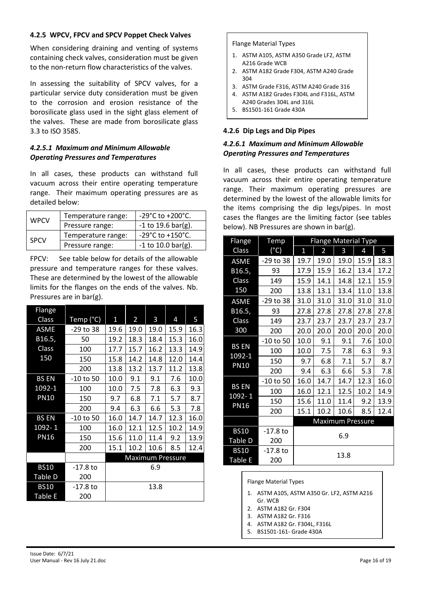#### **4.2.5 WPCV, FPCV and SPCV Poppet Check Valves**

When considering draining and venting of systems containing check valves, consideration must be given to the non-return flow characteristics of the valves.

In assessing the suitability of SPCV valves, for a particular service duty consideration must be given to the corrosion and erosion resistance of the borosilicate glass used in the sight glass element of the valves. These are made from borosilicate glass 3.3 to ISO 3585.

#### *4.2.5.1 Maximum and Minimum Allowable Operating Pressures and Temperatures*

In all cases, these products can withstand full vacuum across their entire operating temperature range. Their maximum operating pressures are as detailed below:

| <b>WPCV</b> | Temperature range: | $-29^{\circ}$ C to $+200^{\circ}$ C. |  |  |
|-------------|--------------------|--------------------------------------|--|--|
|             | Pressure range:    | $-1$ to 19.6 bar(g).                 |  |  |
| <b>SPCV</b> | Temperature range: | $-29^{\circ}$ C to $+150^{\circ}$ C. |  |  |
|             | Pressure range:    | $-1$ to 10.0 bar(g).                 |  |  |

FPCV: See table below for details of the allowable pressure and temperature ranges for these valves. These are determined by the lowest of the allowable limits for the flanges on the ends of the valves. Nb. Pressures are in bar(g).

| Flange       |             |              |                |      |                         |      |
|--------------|-------------|--------------|----------------|------|-------------------------|------|
| Class        | Temp (°C)   | $\mathbf{1}$ | $\overline{2}$ | 3    | 4                       | 5    |
| ASME         | -29 to 38   | 19.6         | 19.0           | 19.0 | 15.9                    | 16.3 |
| B16.5,       | 50          | 19.2         | 18.3           | 18.4 | 15.3                    | 16.0 |
| Class        | 100         | 17.7         | 15.7           | 16.2 | 13.3                    | 14.9 |
| 150          | 150         | 15.8         | 14.2           | 14.8 | 12.0                    | 14.4 |
|              | 200         | 13.8         | 13.2           | 13.7 | 11.2                    | 13.8 |
| <b>BS EN</b> | $-10$ to 50 | 10.0         | 9.1            | 9.1  | 7.6                     | 10.0 |
| 1092-1       | 100         | 10.0         | 7.5            | 7.8  | 6.3                     | 9.3  |
| <b>PN10</b>  | 150         | 9.7          | 6.8            | 7.1  | 5.7                     | 8.7  |
|              | 200         | 9.4          | 6.3            | 6.6  | 5.3                     | 7.8  |
| <b>BS EN</b> | -10 to 50   | 16.0         | 14.7           | 14.7 | 12.3                    | 16.0 |
| 1092-1       | 100         | 16.0         | 12.1           | 12.5 | 10.2                    | 14.9 |
| <b>PN16</b>  | 150         | 15.6         | 11.0           | 11.4 | 9.2                     | 13.9 |
|              | 200         | 15.1         | 10.2           | 10.6 | 8.5                     | 12.4 |
|              |             |              |                |      | <b>Maximum Pressure</b> |      |
| <b>BS10</b>  | -17.8 to    |              |                | 6.9  |                         |      |
| Table D      | 200         |              |                |      |                         |      |
| <b>BS10</b>  | -17.8 to    |              |                | 13.8 |                         |      |
| Table E      | 200         |              |                |      |                         |      |

Flange Material Types

- 1. ASTM A105, ASTM A350 Grade LF2, ASTM A216 Grade WCB
- 2. ASTM A182 Grade F304, ASTM A240 Grade 304
- 3. ASTM Grade F316, ASTM A240 Grade 316
- 4. ASTM A182 Grades F304L and F316L, ASTM
- A240 Grades 304L and 316L
- 5. BS1501-161 Grade 430A

#### **4.2.6 Dip Legs and Dip Pipes**

#### *4.2.6.1 Maximum and Minimum Allowable Operating Pressures and Temperatures*

In all cases, these products can withstand full vacuum across their entire operating temperature range. Their maximum operating pressures are determined by the lowest of the allowable limits for the items comprising the dip legs/pipes. In most cases the flanges are the limiting factor (see tables below). NB Pressures are shown in bar(g).

| Flange                | <b>Flange Material Type</b><br>Temp |              |                |      |                         |      |  |
|-----------------------|-------------------------------------|--------------|----------------|------|-------------------------|------|--|
| <b>Class</b>          | $(^{\circ}C)$                       | $\mathbf{1}$ | $\overline{a}$ | 3    | 4                       | 5    |  |
| <b>ASME</b>           | -29 to 38                           | 19.7         | 19.0           | 19.0 | 15.9                    | 18.3 |  |
| B16.5,                | 93                                  | 17.9         | 15.9           | 16.2 | 13.4                    | 17.2 |  |
| Class                 | 149                                 | 15.9         | 14.1           | 14.8 | 12.1                    | 15.9 |  |
| 150                   | 200                                 | 13.8         | 13.1           | 13.4 | 11.0                    | 13.8 |  |
| <b>ASME</b>           | -29 to 38                           | 31.0         | 31.0           | 31.0 | 31.0                    | 31.0 |  |
| B16.5,                | 93                                  | 27.8         | 27.8           | 27.8 | 27.8                    | 27.8 |  |
| <b>Class</b>          | 149                                 | 23.7         | 23.7           | 23.7 | 23.7                    | 23.7 |  |
| 300                   | 200                                 | 20.0         | 20.0           | 20.0 | 20.0                    | 20.0 |  |
|                       | -10 to 50                           | 10.0         | 9.1            | 9.1  | 7.6                     | 10.0 |  |
| <b>BSEN</b><br>1092-1 | 100                                 | 10.0         | 7.5            | 7.8  | 6.3                     | 9.3  |  |
| <b>PN10</b>           | 150                                 | 9.7          | 6.8            | 7.1  | 5.7                     | 8.7  |  |
|                       | 200                                 | 9.4          | 6.3            | 6.6  | 5.3                     | 7.8  |  |
|                       | -10 to 50                           | 16.0         | 14.7           | 14.7 | 12.3                    | 16.0 |  |
| <b>BS EN</b>          | 100                                 | 16.0         | 12.1           | 12.5 | 10.2                    | 14.9 |  |
| 1092-1<br><b>PN16</b> | 150                                 | 15.6         | 11.0           | 11.4 | 9.2                     | 13.9 |  |
|                       | 200                                 | 15.1         | 10.2           | 10.6 | 8.5                     | 12.4 |  |
|                       |                                     |              |                |      | <b>Maximum Pressure</b> |      |  |
| <b>BS10</b>           | $-17.8$ to                          |              |                | 6.9  |                         |      |  |
| Table D               | 200                                 |              |                |      |                         |      |  |
| <b>BS10</b>           | -17.8 to                            |              |                |      |                         |      |  |
| <b>Table E</b>        | 200                                 | 13.8         |                |      |                         |      |  |

Flange Material Types

- 1. ASTM A105, ASTM A350 Gr. LF2, ASTM A216 Gr. WCB
- 2. ASTM A182 Gr. F304
- 3. ASTM A182 Gr. F316
- 4. ASTM A182 Gr. F304L, F316L
- 5. BS1501-161- Grade 430A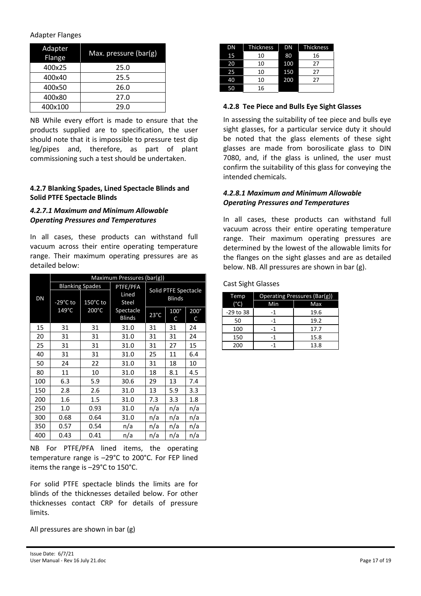#### Adapter Flanges

| Adapter<br>Flange | Max. pressure $(bar(g))$ |
|-------------------|--------------------------|
| 400x25            | 25.0                     |
| 400x40            | 25.5                     |
| 400x50            | 26.0                     |
| 400×80            | 27.0                     |
| 400x100           | 29.0                     |

NB While every effort is made to ensure that the products supplied are to specification, the user should note that it is impossible to pressure test dip leg/pipes and, therefore, as part of plant commissioning such a test should be undertaken.

#### **4.2.7 Blanking Spades, Lined Spectacle Blinds and Solid PTFE Spectacle Blinds**

#### *4.2.7.1 Maximum and Minimum Allowable Operating Pressures and Temperatures*

In all cases, these products can withstand full vacuum across their entire operating temperature range. Their maximum operating pressures are as detailed below:

|     | Maximum Pressures (bar(g)) |                                    |                            |                |                                       |                  |
|-----|----------------------------|------------------------------------|----------------------------|----------------|---------------------------------------|------------------|
| DN  | $-29^{\circ}$ C to         | <b>Blanking Spades</b><br>150°C to | PTFE/PFA<br>Lined<br>Steel |                | Solid PTFE Spectacle<br><b>Blinds</b> |                  |
|     | 149°C                      | 200°C                              | Spectacle<br><b>Blinds</b> | $23^{\circ}$ C | 100°<br>C                             | $200^\circ$<br>C |
| 15  | 31                         | 31                                 | 31.0                       | 31             | 31                                    | 24               |
| 20  | 31                         | 31                                 | 31.0                       | 31             | 31                                    | 24               |
| 25  | 31                         | 31                                 | 31.0                       | 31             | 27                                    | 15               |
| 40  | 31                         | 31                                 | 31.0                       | 25             | 11                                    | 6.4              |
| 50  | 24                         | 22                                 | 31.0                       | 31             | 18                                    | 10               |
| 80  | 11                         | 10                                 | 31.0                       | 18             | 8.1                                   | 4.5              |
| 100 | 6.3                        | 5.9                                | 30.6                       | 29             | 13                                    | 7.4              |
| 150 | 2.8                        | 2.6                                | 31.0                       | 13             | 5.9                                   | 3.3              |
| 200 | 1.6                        | 1.5                                | 31.0                       | 7.3            | 3.3                                   | 1.8              |
| 250 | 1.0                        | 0.93                               | 31.0                       | n/a            | n/a                                   | n/a              |
| 300 | 0.68                       | 0.64                               | 31.0                       | n/a            | n/a                                   | n/a              |
| 350 | 0.57                       | 0.54                               | n/a                        | n/a            | n/a                                   | n/a              |
| 400 | 0.43                       | 0.41                               | n/a                        | n/a            | n/a                                   | n/a              |

NB For PTFE/PFA lined items, the operating temperature range is –29°C to 200°C. For FEP lined items the range is –29°C to 150°C.

For solid PTFE spectacle blinds the limits are for blinds of the thicknesses detailed below. For other thicknesses contact CRP for details of pressure limits.

All pressures are shown in bar (g)

| DΝ | <b>Thickness</b> | DN  | <b>Thickness</b> |
|----|------------------|-----|------------------|
| 15 | 10               | 80  | 16               |
| 20 | 10               | 100 | 27               |
| 25 | 10               | 150 | 27               |
| 40 | 10               | 200 | 27               |
| 50 | 16               |     |                  |

#### **4.2.8 Tee Piece and Bulls Eye Sight Glasses**

In assessing the suitability of tee piece and bulls eye sight glasses, for a particular service duty it should be noted that the glass elements of these sight glasses are made from borosilicate glass to DIN 7080, and, if the glass is unlined, the user must confirm the suitability of this glass for conveying the intended chemicals.

#### *4.2.8.1 Maximum and Minimum Allowable Operating Pressures and Temperatures*

In all cases, these products can withstand full vacuum across their entire operating temperature range. Their maximum operating pressures are determined by the lowest of the allowable limits for the flanges on the sight glasses and are as detailed below. NB. All pressures are shown in bar (g).

Cast Sight Glasses

| Temp          | Operating Pressures (Bar(g)) |      |  |
|---------------|------------------------------|------|--|
| $(^{\circ}C)$ | Min                          | Max  |  |
| -29 to 38     | -1                           | 19.6 |  |
| 50            | -1                           | 19.2 |  |
| 100           | -1                           | 17.7 |  |
| 150           | -1                           | 15.8 |  |
| 200           | -1                           | 13.8 |  |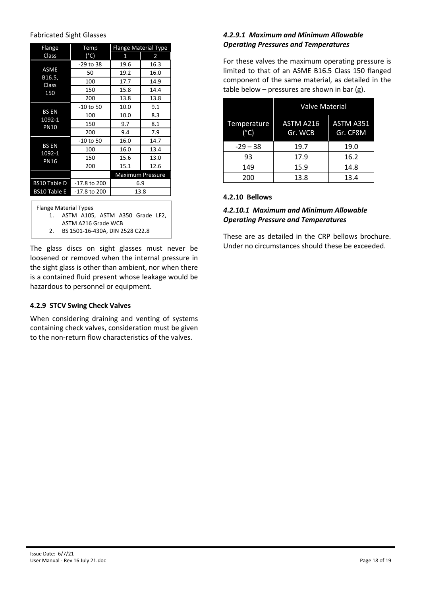#### Fabricated Sight Glasses

| Flange                                | <b>Flange Material Type</b><br>Temp |      |                         |
|---------------------------------------|-------------------------------------|------|-------------------------|
| Class                                 | (°C)                                | 1    | 2                       |
|                                       | -29 to 38                           | 19.6 | 16.3                    |
| ASME                                  | 50                                  | 19.2 | 16.0                    |
| B16.5,<br>Class                       | 100                                 | 17.7 | 14.9                    |
| 150                                   | 150                                 | 15.8 | 14.4                    |
|                                       | 200                                 | 13.8 | 13.8                    |
|                                       | $-10$ to 50                         | 10.0 | 9.1                     |
| <b>BS EN</b><br>1092-1<br><b>PN10</b> | 100                                 | 10.0 | 8.3                     |
|                                       | 150                                 | 9.7  | 8.1                     |
|                                       | 200                                 | 9.4  | 7.9                     |
|                                       | $-10$ to 50                         | 16.0 | 14.7                    |
| <b>BS EN</b><br>1092-1                | 100                                 | 16.0 | 13.4                    |
| <b>PN16</b>                           | 150                                 | 15.6 | 13.0                    |
|                                       | 200                                 | 15.1 | 12.6                    |
|                                       |                                     |      | <b>Maximum Pressure</b> |
| <b>BS10 Table D</b>                   | -17.8 to 200                        | 6.9  |                         |
| <b>BS10 Table E</b>                   | -17.8 to 200                        | 13.8 |                         |
|                                       |                                     |      |                         |

Flange Material Types

1. ASTM A105, ASTM A350 Grade LF2,

ASTM A216 Grade WCB

2. BS 1501-16-430A, DIN 2528 C22.8

The glass discs on sight glasses must never be loosened or removed when the internal pressure in the sight glass is other than ambient, nor when there is a contained fluid present whose leakage would be hazardous to personnel or equipment.

#### **4.2.9 STCV Swing Check Valves**

When considering draining and venting of systems containing check valves, consideration must be given to the non-return flow characteristics of the valves.

#### *4.2.9.1 Maximum and Minimum Allowable Operating Pressures and Temperatures*

For these valves the maximum operating pressure is limited to that of an ASME B16.5 Class 150 flanged component of the same material, as detailed in the table below – pressures are shown in bar (g).

|                              | <b>Valve Material</b> |                              |  |
|------------------------------|-----------------------|------------------------------|--|
| Temperature<br>$(^{\circ}C)$ | ASTM A216<br>Gr. WCB  | <b>ASTM A351</b><br>Gr. CF8M |  |
| $-29 - 38$                   | 19.7                  | 19.0                         |  |
| 93                           | 17.9                  | 16.2                         |  |
| 149                          | 15.9                  | 14.8                         |  |
| 200                          | 13.8                  | 13.4                         |  |

#### **4.2.10 Bellows**

#### *4.2.10.1 Maximum and Minimum Allowable Operating Pressure and Temperatures*

These are as detailed in the CRP bellows brochure. Under no circumstances should these be exceeded.